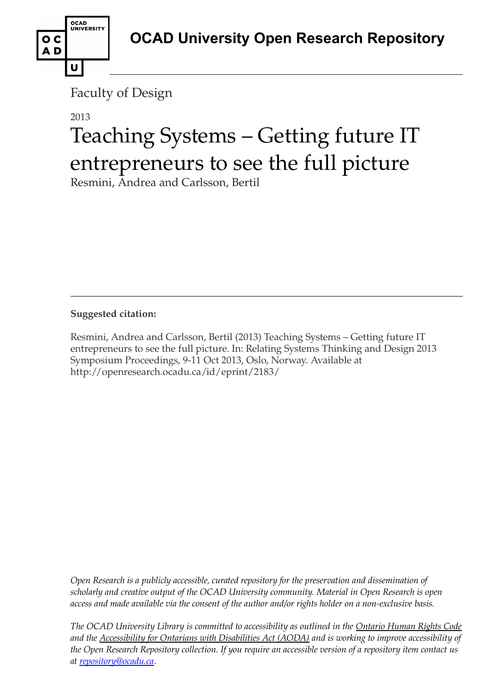Faculty of Design

OCAD<br>UNIVERSITY

U

o c AD

# 2013 Teaching Systems – Getting future IT entrepreneurs to see the full picture

Resmini, Andrea and Carlsson, Bertil

**Suggested citation:** 

Resmini, Andrea and Carlsson, Bertil (2013) Teaching Systems – Getting future IT entrepreneurs to see the full picture. In: Relating Systems Thinking and Design 2013 Symposium Proceedings, 9-11 Oct 2013, Oslo, Norway. Available at http://openresearch.ocadu.ca/id/eprint/2183/

*Open Research is a publicly accessible, curated repository for the preservation and dissemination of scholarly and creative output of the OCAD University community. Material in Open Research is open access and made available via the consent of the author and/or rights holder on a non-exclusive basis.* 

*The OCAD University Library is committed to accessibility as outlined in the Ontario Human Rights Code and the Accessibility for Ontarians with Disabilities Act (AODA) and is working to improve accessibility of the Open Research Repository collection. If you require an accessible version of a repository item contact us at [repository@ocadu.ca.](mailto:repository@ocadu.ca)*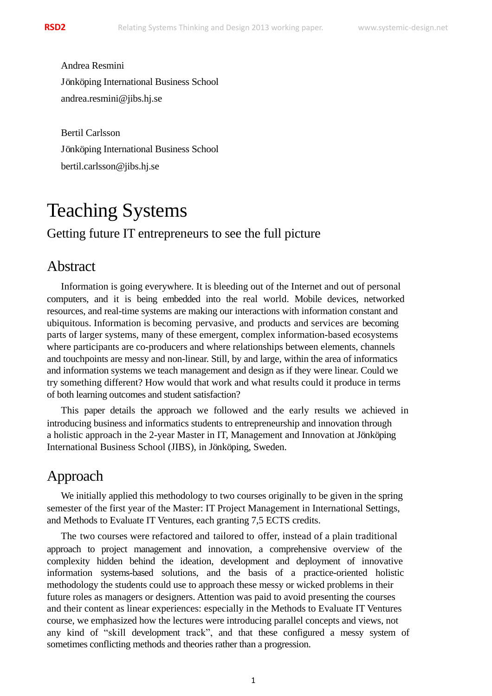Andrea Resmini Jönköping International Business School andrea.resmini@jibs.hj.se

Bertil Carlsson Jönköping International Business School bertil.carlsson@jibs.hj.se

# Teaching Systems Getting future IT entrepreneurs to see the full picture

#### Abstract

Information is going everywhere. It is bleeding out of the Internet and out of personal computers, and it is being embedded into the real world. Mobile devices, networked resources, and real-time systems are making our interactions with information constant and ubiquitous. Information is becoming pervasive, and products and services are becoming parts of larger systems, many of these emergent, complex information-based ecosystems where participants are co-producers and where relationships between elements, channels and touchpoints are messy and non-linear. Still, by and large, within the area of informatics and information systems we teach management and design as if they were linear. Could we try something different? How would that work and what results could it produce in terms of both learning outcomes and student satisfaction?

This paper details the approach we followed and the early results we achieved in introducing business and informatics students to entrepreneurship and innovation through a holistic approach in the 2-year Master in IT, Management and Innovation at Jönköping International Business School (JIBS), in Jönköping, Sweden.

## Approach

We initially applied this methodology to two courses originally to be given in the spring semester of the first year of the Master: IT Project Management in International Settings, and Methods to Evaluate IT Ventures, each granting 7,5 ECTS credits.

The two courses were refactored and tailored to offer, instead of a plain traditional approach to project management and innovation, a comprehensive overview of the complexity hidden behind the ideation, development and deployment of innovative information systems-based solutions, and the basis of a practice-oriented holistic methodology the students could use to approach these messy or wicked problems in their future roles as managers or designers. Attention was paid to avoid presenting the courses and their content as linear experiences: especially in the Methods to Evaluate IT Ventures course, we emphasized how the lectures were introducing parallel concepts and views, not any kind of "skill development track", and that these configured a messy system of sometimes conflicting methods and theories rather than a progression.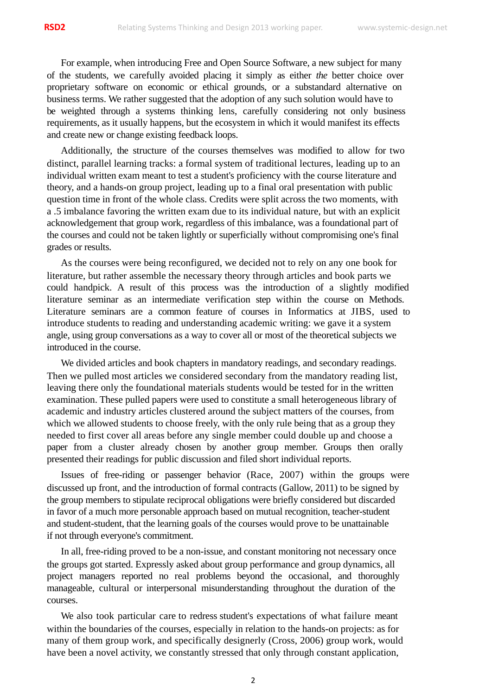For example, when introducing Free and Open Source Software, a new subject for many of the students, we carefully avoided placing it simply as either *the* better choice over proprietary software on economic or ethical grounds, or a substandard alternative on business terms. We rather suggested that the adoption of any such solution would have to be weighted through a systems thinking lens, carefully considering not only business requirements, as it usually happens, but the ecosystem in which it would manifest its effects and create new or change existing feedback loops.

Additionally, the structure of the courses themselves was modified to allow for two distinct, parallel learning tracks: a formal system of traditional lectures, leading up to an individual written exam meant to test a student's proficiency with the course literature and theory, and a hands-on group project, leading up to a final oral presentation with public question time in front of the whole class. Credits were split across the two moments, with a .5 imbalance favoring the written exam due to its individual nature, but with an explicit acknowledgement that group work, regardless of this imbalance, was a foundational part of the courses and could not be taken lightly or superficially without compromising one's final grades or results.

As the courses were being reconfigured, we decided not to rely on any one book for literature, but rather assemble the necessary theory through articles and book parts we could handpick. A result of this process was the introduction of a slightly modified literature seminar as an intermediate verification step within the course on Methods. Literature seminars are a common feature of courses in Informatics at JIBS, used to introduce students to reading and understanding academic writing: we gave it a system angle, using group conversations as a way to cover all or most of the theoretical subjects we introduced in the course.

We divided articles and book chapters in mandatory readings, and secondary readings. Then we pulled most articles we considered secondary from the mandatory reading list, leaving there only the foundational materials students would be tested for in the written examination. These pulled papers were used to constitute a small heterogeneous library of academic and industry articles clustered around the subject matters of the courses, from which we allowed students to choose freely, with the only rule being that as a group they needed to first cover all areas before any single member could double up and choose a paper from a cluster already chosen by another group member. Groups then orally presented their readings for public discussion and filed short individual reports.

Issues of free-riding or passenger behavior (Race, 2007) within the groups were discussed up front, and the introduction of formal contracts (Gallow, 2011) to be signed by the group members to stipulate reciprocal obligations were briefly considered but discarded in favor of a much more personable approach based on mutual recognition, teacher-student and student-student, that the learning goals of the courses would prove to be unattainable if not through everyone's commitment.

In all, free-riding proved to be a non-issue, and constant monitoring not necessary once the groups got started. Expressly asked about group performance and group dynamics, all project managers reported no real problems beyond the occasional, and thoroughly manageable, cultural or interpersonal misunderstanding throughout the duration of the courses.

We also took particular care to redress student's expectations of what failure meant within the boundaries of the courses, especially in relation to the hands-on projects: as for many of them group work, and specifically designerly (Cross, 2006) group work, would have been a novel activity, we constantly stressed that only through constant application,

2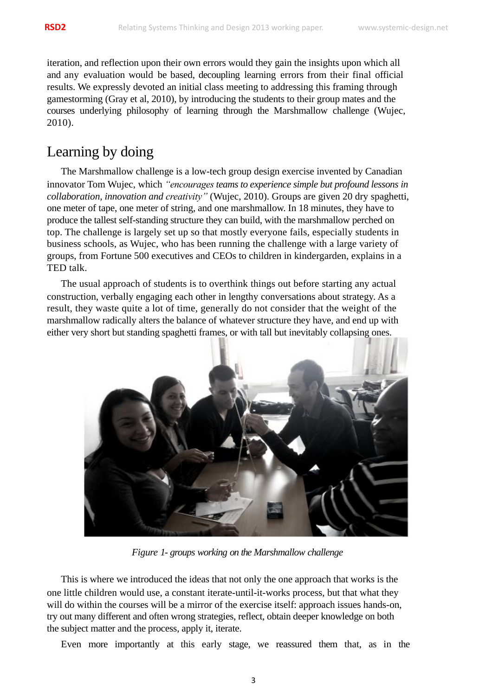iteration, and reflection upon their own errors would they gain the insights upon which all and any evaluation would be based, decoupling learning errors from their final official results. We expressly devoted an initial class meeting to addressing this framing through gamestorming (Gray et al, 2010), by introducing the students to their group mates and the courses underlying philosophy of learning through the Marshmallow challenge (Wujec, 2010).

# Learning by doing

The Marshmallow challenge is a low-tech group design exercise invented by Canadian innovator Tom Wujec, which *"encourages teams to experience simple but profound lessons in collaboration, innovation and creativity"* (Wujec, 2010). Groups are given 20 dry spaghetti, one meter of tape, one meter of string, and one marshmallow. In 18 minutes, they have to produce the tallest self-standing structure they can build, with the marshmallow perched on top. The challenge is largely set up so that mostly everyone fails, especially students in business schools, as Wujec, who has been running the challenge with a large variety of groups, from Fortune 500 executives and CEOs to children in kindergarden, explains in a TED talk.

The usual approach of students is to overthink things out before starting any actual construction, verbally engaging each other in lengthy conversations about strategy. As a result, they waste quite a lot of time, generally do not consider that the weight of the marshmallow radically alters the balance of whatever structure they have, and end up with either very short but standing spaghetti frames, or with tall but inevitably collapsing ones.



*Figure 1- groups working on the Marshmallow challenge*

This is where we introduced the ideas that not only the one approach that works is the one little children would use, a constant iterate-until-it-works process, but that what they will do within the courses will be a mirror of the exercise itself: approach issues hands-on, try out many different and often wrong strategies, reflect, obtain deeper knowledge on both the subject matter and the process, apply it, iterate.

Even more importantly at this early stage, we reassured them that, as in the

3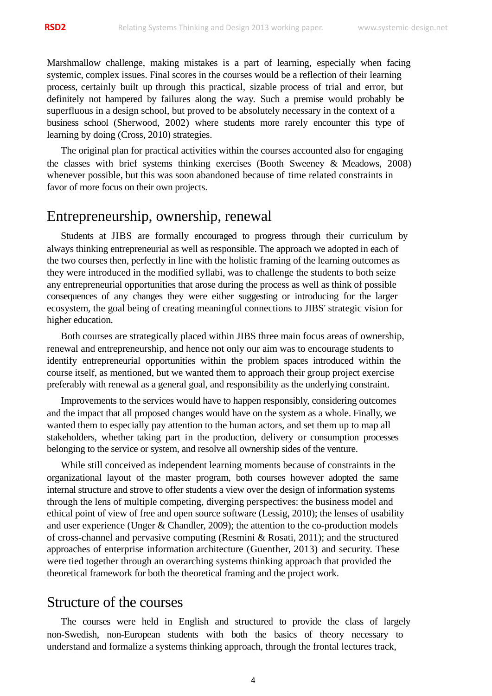Marshmallow challenge, making mistakes is a part of learning, especially when facing systemic, complex issues. Final scores in the courses would be a reflection of their learning process, certainly built up through this practical, sizable process of trial and error, but definitely not hampered by failures along the way. Such a premise would probably be superfluous in a design school, but proved to be absolutely necessary in the context of a business school (Sherwood, 2002) where students more rarely encounter this type of learning by doing (Cross, 2010) strategies.

The original plan for practical activities within the courses accounted also for engaging the classes with brief systems thinking exercises (Booth Sweeney & Meadows, 2008) whenever possible, but this was soon abandoned because of time related constraints in favor of more focus on their own projects.

#### Entrepreneurship, ownership, renewal

Students at JIBS are formally encouraged to progress through their curriculum by always thinking entrepreneurial as well as responsible. The approach we adopted in each of the two courses then, perfectly in line with the holistic framing of the learning outcomes as they were introduced in the modified syllabi, was to challenge the students to both seize any entrepreneurial opportunities that arose during the process as well as think of possible consequences of any changes they were either suggesting or introducing for the larger ecosystem, the goal being of creating meaningful connections to JIBS' strategic vision for higher education.

Both courses are strategically placed within JIBS three main focus areas of ownership, renewal and entrepreneurship, and hence not only our aim was to encourage students to identify entrepreneurial opportunities within the problem spaces introduced within the course itself, as mentioned, but we wanted them to approach their group project exercise preferably with renewal as a general goal, and responsibility as the underlying constraint.

Improvements to the services would have to happen responsibly, considering outcomes and the impact that all proposed changes would have on the system as a whole. Finally, we wanted them to especially pay attention to the human actors, and set them up to map all stakeholders, whether taking part in the production, delivery or consumption processes belonging to the service or system, and resolve all ownership sides of the venture.

While still conceived as independent learning moments because of constraints in the organizational layout of the master program, both courses however adopted the same internal structure and strove to offer students a view over the design of information systems through the lens of multiple competing, diverging perspectives: the business model and ethical point of view of free and open source software (Lessig, 2010); the lenses of usability and user experience (Unger & Chandler, 2009); the attention to the co-production models of cross-channel and pervasive computing (Resmini & Rosati, 2011); and the structured approaches of enterprise information architecture (Guenther, 2013) and security. These were tied together through an overarching systems thinking approach that provided the theoretical framework for both the theoretical framing and the project work.

#### Structure of the courses

The courses were held in English and structured to provide the class of largely non-Swedish, non-European students with both the basics of theory necessary to understand and formalize a systems thinking approach, through the frontal lectures track,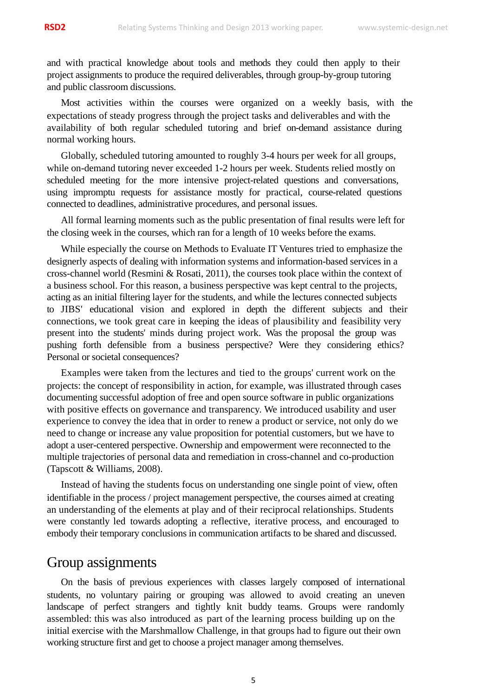and with practical knowledge about tools and methods they could then apply to their project assignments to produce the required deliverables, through group-by-group tutoring and public classroom discussions.

Most activities within the courses were organized on a weekly basis, with the expectations of steady progress through the project tasks and deliverables and with the availability of both regular scheduled tutoring and brief on-demand assistance during normal working hours.

Globally, scheduled tutoring amounted to roughly 3-4 hours per week for all groups, while on-demand tutoring never exceeded 1-2 hours per week. Students relied mostly on scheduled meeting for the more intensive project-related questions and conversations, using impromptu requests for assistance mostly for practical, course-related questions connected to deadlines, administrative procedures, and personal issues.

All formal learning moments such as the public presentation of final results were left for the closing week in the courses, which ran for a length of 10 weeks before the exams.

While especially the course on Methods to Evaluate IT Ventures tried to emphasize the designerly aspects of dealing with information systems and information-based services in a cross-channel world (Resmini & Rosati, 2011), the courses took place within the context of a business school. For this reason, a business perspective was kept central to the projects, acting as an initial filtering layer for the students, and while the lectures connected subjects to JIBS' educational vision and explored in depth the different subjects and their connections, we took great care in keeping the ideas of plausibility and feasibility very present into the students' minds during project work. Was the proposal the group was pushing forth defensible from a business perspective? Were they considering ethics? Personal or societal consequences?

Examples were taken from the lectures and tied to the groups' current work on the projects: the concept of responsibility in action, for example, was illustrated through cases documenting successful adoption of free and open source software in public organizations with positive effects on governance and transparency. We introduced usability and user experience to convey the idea that in order to renew a product or service, not only do we need to change or increase any value proposition for potential customers, but we have to adopt a user-centered perspective. Ownership and empowerment were reconnected to the multiple trajectories of personal data and remediation in cross-channel and co-production (Tapscott & Williams, 2008).

Instead of having the students focus on understanding one single point of view, often identifiable in the process / project management perspective, the courses aimed at creating an understanding of the elements at play and of their reciprocal relationships. Students were constantly led towards adopting a reflective, iterative process, and encouraged to embody their temporary conclusions in communication artifacts to be shared and discussed.

#### Group assignments

On the basis of previous experiences with classes largely composed of international students, no voluntary pairing or grouping was allowed to avoid creating an uneven landscape of perfect strangers and tightly knit buddy teams. Groups were randomly assembled: this was also introduced as part of the learning process building up on the initial exercise with the Marshmallow Challenge, in that groups had to figure out their own working structure first and get to choose a project manager among themselves.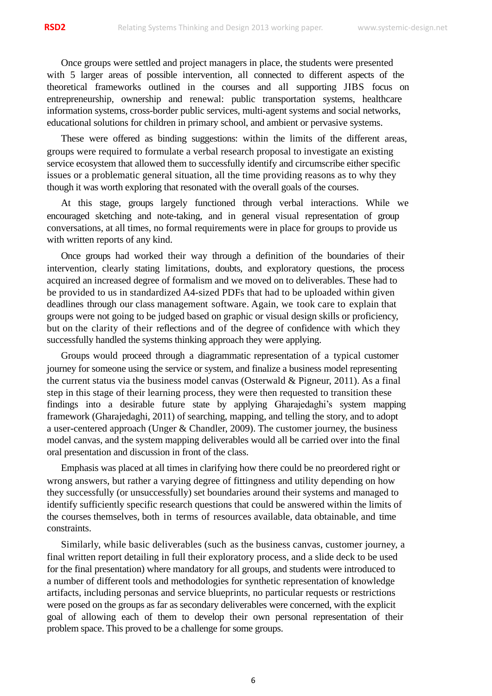Once groups were settled and project managers in place, the students were presented with 5 larger areas of possible intervention, all connected to different aspects of the theoretical frameworks outlined in the courses and all supporting JIBS focus on entrepreneurship, ownership and renewal: public transportation systems, healthcare information systems, cross-border public services, multi-agent systems and social networks, educational solutions for children in primary school, and ambient or pervasive systems.

These were offered as binding suggestions: within the limits of the different areas, groups were required to formulate a verbal research proposal to investigate an existing service ecosystem that allowed them to successfully identify and circumscribe either specific issues or a problematic general situation, all the time providing reasons as to why they though it was worth exploring that resonated with the overall goals of the courses.

At this stage, groups largely functioned through verbal interactions. While we encouraged sketching and note-taking, and in general visual representation of group conversations, at all times, no formal requirements were in place for groups to provide us with written reports of any kind.

Once groups had worked their way through a definition of the boundaries of their intervention, clearly stating limitations, doubts, and exploratory questions, the process acquired an increased degree of formalism and we moved on to deliverables. These had to be provided to us in standardized A4-sized PDFs that had to be uploaded within given deadlines through our class management software. Again, we took care to explain that groups were not going to be judged based on graphic or visual design skills or proficiency, but on the clarity of their reflections and of the degree of confidence with which they successfully handled the systems thinking approach they were applying.

Groups would proceed through a diagrammatic representation of a typical customer journey for someone using the service or system, and finalize a business model representing the current status via the business model canvas (Osterwald & Pigneur, 2011). As a final step in this stage of their learning process, they were then requested to transition these findings into a desirable future state by applying Gharajedaghi's system mapping framework (Gharajedaghi, 2011) of searching, mapping, and telling the story, and to adopt a user-centered approach (Unger & Chandler, 2009). The customer journey, the business model canvas, and the system mapping deliverables would all be carried over into the final oral presentation and discussion in front of the class.

Emphasis was placed at all times in clarifying how there could be no preordered right or wrong answers, but rather a varying degree of fittingness and utility depending on how they successfully (or unsuccessfully) set boundaries around their systems and managed to identify sufficiently specific research questions that could be answered within the limits of the courses themselves, both in terms of resources available, data obtainable, and time constraints.

Similarly, while basic deliverables (such as the business canvas, customer journey, a final written report detailing in full their exploratory process, and a slide deck to be used for the final presentation) where mandatory for all groups, and students were introduced to a number of different tools and methodologies for synthetic representation of knowledge artifacts, including personas and service blueprints, no particular requests or restrictions were posed on the groups as far as secondary deliverables were concerned, with the explicit goal of allowing each of them to develop their own personal representation of their problem space. This proved to be a challenge for some groups.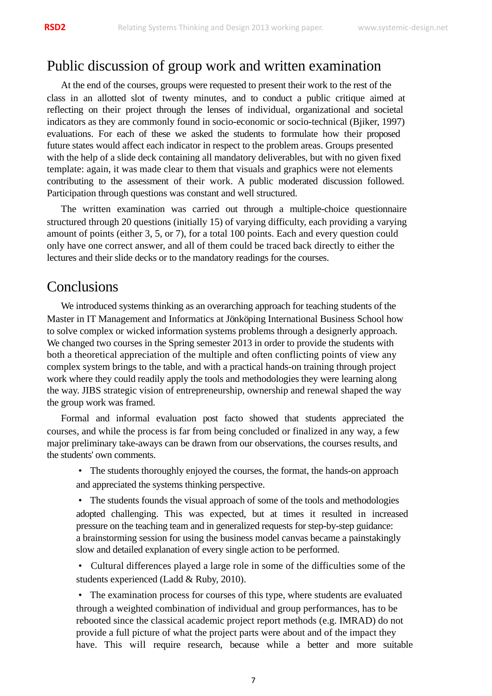#### Public discussion of group work and written examination

At the end of the courses, groups were requested to present their work to the rest of the class in an allotted slot of twenty minutes, and to conduct a public critique aimed at reflecting on their project through the lenses of individual, organizational and societal indicators as they are commonly found in socio-economic or socio-technical (Bjiker, 1997) evaluations. For each of these we asked the students to formulate how their proposed future states would affect each indicator in respect to the problem areas. Groups presented with the help of a slide deck containing all mandatory deliverables, but with no given fixed template: again, it was made clear to them that visuals and graphics were not elements contributing to the assessment of their work. A public moderated discussion followed. Participation through questions was constant and well structured.

The written examination was carried out through a multiple-choice questionnaire structured through 20 questions (initially 15) of varying difficulty, each providing a varying amount of points (either 3, 5, or 7), for a total 100 points. Each and every question could only have one correct answer, and all of them could be traced back directly to either the lectures and their slide decks or to the mandatory readings for the courses.

## **Conclusions**

We introduced systems thinking as an overarching approach for teaching students of the Master in IT Management and Informatics at Jönköping International Business School how to solve complex or wicked information systems problems through a designerly approach. We changed two courses in the Spring semester 2013 in order to provide the students with both a theoretical appreciation of the multiple and often conflicting points of view any complex system brings to the table, and with a practical hands-on training through project work where they could readily apply the tools and methodologies they were learning along the way. JIBS strategic vision of entrepreneurship, ownership and renewal shaped the way the group work was framed.

Formal and informal evaluation post facto showed that students appreciated the courses, and while the process is far from being concluded or finalized in any way, a few major preliminary take-aways can be drawn from our observations, the courses results, and the students' own comments.

• The students thoroughly enjoyed the courses, the format, the hands-on approach and appreciated the systems thinking perspective.

• The students founds the visual approach of some of the tools and methodologies adopted challenging. This was expected, but at times it resulted in increased pressure on the teaching team and in generalized requests for step-by-step guidance: a brainstorming session for using the business model canvas became a painstakingly slow and detailed explanation of every single action to be performed.

• Cultural differences played a large role in some of the difficulties some of the students experienced (Ladd & Ruby, 2010).

• The examination process for courses of this type, where students are evaluated through a weighted combination of individual and group performances, has to be rebooted since the classical academic project report methods (e.g. IMRAD) do not provide a full picture of what the project parts were about and of the impact they have. This will require research, because while a better and more suitable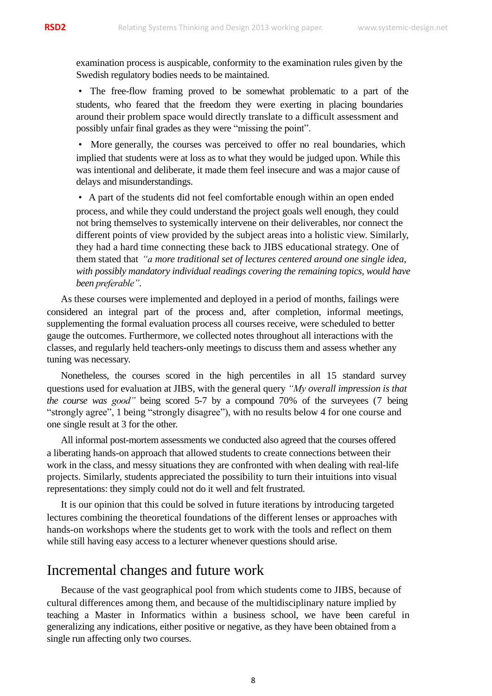examination process is auspicable, conformity to the examination rules given by the Swedish regulatory bodies needs to be maintained.

• The free-flow framing proved to be somewhat problematic to a part of the students, who feared that the freedom they were exerting in placing boundaries around their problem space would directly translate to a difficult assessment and possibly unfair final grades as they were "missing the point".

• More generally, the courses was perceived to offer no real boundaries, which implied that students were at loss as to what they would be judged upon. While this was intentional and deliberate, it made them feel insecure and was a major cause of delays and misunderstandings.

• A part of the students did not feel comfortable enough within an open ended process, and while they could understand the project goals well enough, they could not bring themselves to systemically intervene on their deliverables, nor connect the different points of view provided by the subject areas into a holistic view. Similarly, they had a hard time connecting these back to JIBS educational strategy. One of them stated that *"a more traditional set of lectures centered around one single idea, with possibly mandatory individual readings covering the remaining topics, would have been preferable"*.

As these courses were implemented and deployed in a period of months, failings were considered an integral part of the process and, after completion, informal meetings, supplementing the formal evaluation process all courses receive, were scheduled to better gauge the outcomes. Furthermore, we collected notes throughout all interactions with the classes, and regularly held teachers-only meetings to discuss them and assess whether any tuning was necessary.

Nonetheless, the courses scored in the high percentiles in all 15 standard survey questions used for evaluation at JIBS, with the general query *"My overall impression is that the course was good"* being scored 5-7 by a compound 70% of the surveyees (7 being "strongly agree", 1 being "strongly disagree"), with no results below 4 for one course and one single result at 3 for the other.

All informal post-mortem assessments we conducted also agreed that the courses offered a liberating hands-on approach that allowed students to create connections between their work in the class, and messy situations they are confronted with when dealing with real-life projects. Similarly, students appreciated the possibility to turn their intuitions into visual representations: they simply could not do it well and felt frustrated.

It is our opinion that this could be solved in future iterations by introducing targeted lectures combining the theoretical foundations of the different lenses or approaches with hands-on workshops where the students get to work with the tools and reflect on them while still having easy access to a lecturer whenever questions should arise.

## Incremental changes and future work

Because of the vast geographical pool from which students come to JIBS, because of cultural differences among them, and because of the multidisciplinary nature implied by teaching a Master in Informatics within a business school, we have been careful in generalizing any indications, either positive or negative, as they have been obtained from a single run affecting only two courses.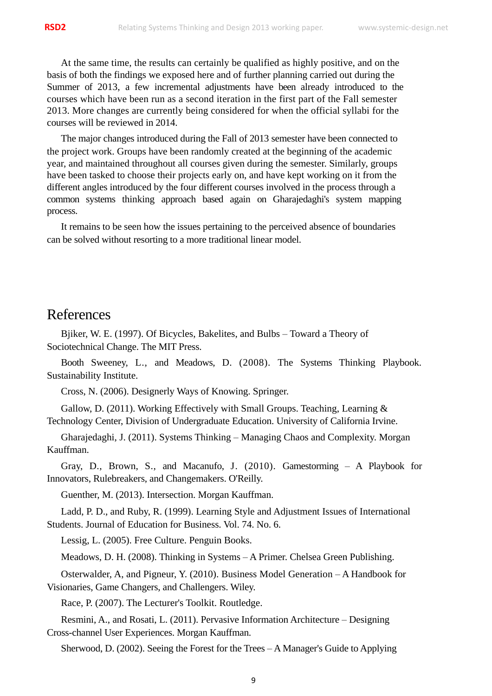At the same time, the results can certainly be qualified as highly positive, and on the basis of both the findings we exposed here and of further planning carried out during the Summer of 2013, a few incremental adjustments have been already introduced to the courses which have been run as a second iteration in the first part of the Fall semester 2013. More changes are currently being considered for when the official syllabi for the courses will be reviewed in 2014.

The major changes introduced during the Fall of 2013 semester have been connected to the project work. Groups have been randomly created at the beginning of the academic year, and maintained throughout all courses given during the semester. Similarly, groups have been tasked to choose their projects early on, and have kept working on it from the different angles introduced by the four different courses involved in the process through a common systems thinking approach based again on Gharajedaghi's system mapping process.

It remains to be seen how the issues pertaining to the perceived absence of boundaries can be solved without resorting to a more traditional linear model.

#### References

Bjiker, W. E. (1997). Of Bicycles, Bakelites, and Bulbs – Toward a Theory of Sociotechnical Change. The MIT Press.

Booth Sweeney, L., and Meadows, D. (2008). The Systems Thinking Playbook. Sustainability Institute.

Cross, N. (2006). Designerly Ways of Knowing. Springer.

Gallow, D. (2011). Working Effectively with Small Groups. Teaching, Learning & Technology Center, Division of Undergraduate Education. University of California Irvine.

Gharajedaghi, J. (2011). Systems Thinking – Managing Chaos and Complexity. Morgan Kauffman.

Gray, D., Brown, S., and Macanufo, J. (2010). Gamestorming – A Playbook for Innovators, Rulebreakers, and Changemakers. O'Reilly.

Guenther, M. (2013). Intersection. Morgan Kauffman.

Ladd, P. D., and Ruby, R. (1999). Learning Style and Adjustment Issues of International Students. Journal of Education for Business. Vol. 74. No. 6.

Lessig, L. (2005). Free Culture. Penguin Books.

Meadows, D. H. (2008). Thinking in Systems – A Primer. Chelsea Green Publishing.

Osterwalder, A, and Pigneur, Y. (2010). Business Model Generation – A Handbook for Visionaries, Game Changers, and Challengers. Wiley.

Race, P. (2007). The Lecturer's Toolkit. Routledge.

Resmini, A., and Rosati, L. (2011). Pervasive Information Architecture – Designing Cross-channel User Experiences. Morgan Kauffman.

Sherwood, D. (2002). Seeing the Forest for the Trees – A Manager's Guide to Applying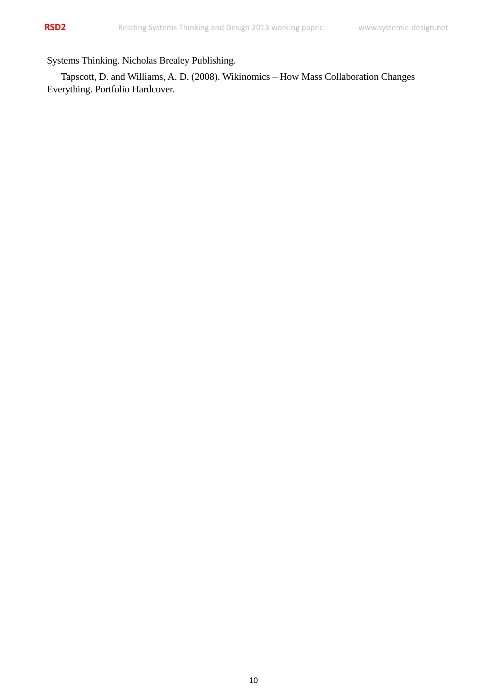Systems Thinking. Nicholas Brealey Publishing.

Tapscott, D. and Williams, A. D. (2008). Wikinomics – How Mass Collaboration Changes Everything. Portfolio Hardcover.